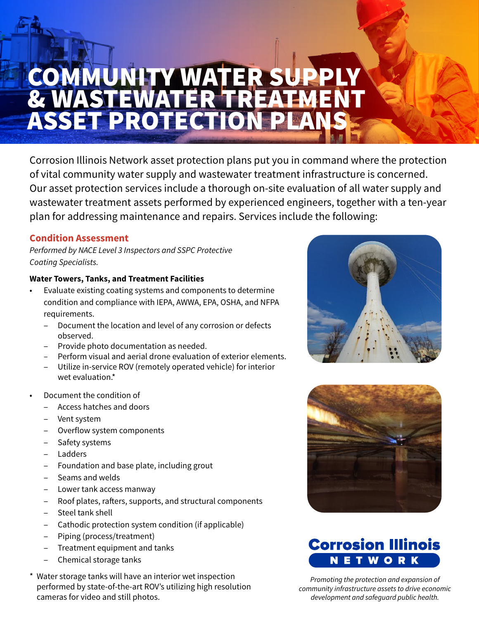# COMMUNITY WATER SUPPLY & WASTEWATER TREATMENT **ASSET PROTECTION**

Corrosion Illinois Network asset protection plans put you in command where the protection of vital community water supply and wastewater treatment infrastructure is concerned. Our asset protection services include a thorough on-site evaluation of all water supply and wastewater treatment assets performed by experienced engineers, together with a ten-year plan for addressing maintenance and repairs. Services include the following:

## **Condition Assessment**

*Performed by NACE Level 3 Inspectors and SSPC Protective Coating Specialists.* 

#### **Water Towers, Tanks, and Treatment Facilities**

- Evaluate existing coating systems and components to determine condition and compliance with IEPA, AWWA, EPA, OSHA, and NFPA requirements.
	- Document the location and level of any corrosion or defects observed.
	- Provide photo documentation as needed.
	- Perform visual and aerial drone evaluation of exterior elements.
	- Utilize in-service ROV (remotely operated vehicle) for interior wet evaluation.\*
- Document the condition of
	- Access hatches and doors
	- Vent system
	- Overflow system components
	- Safety systems
	- Ladders
	- Foundation and base plate, including grout
	- Seams and welds
	- Lower tank access manway
	- Roof plates, rafters, supports, and structural components
	- Steel tank shell
	- Cathodic protection system condition (if applicable)
	- Piping (process/treatment)
	- Treatment equipment and tanks
	- Chemical storage tanks
- \* Water storage tanks will have an interior wet inspection performed by state-of-the-art ROV's utilizing high resolution cameras for video and still photos.







*Promoting the protection and expansion of community infrastructure assets to drive economic development and safeguard public health.*